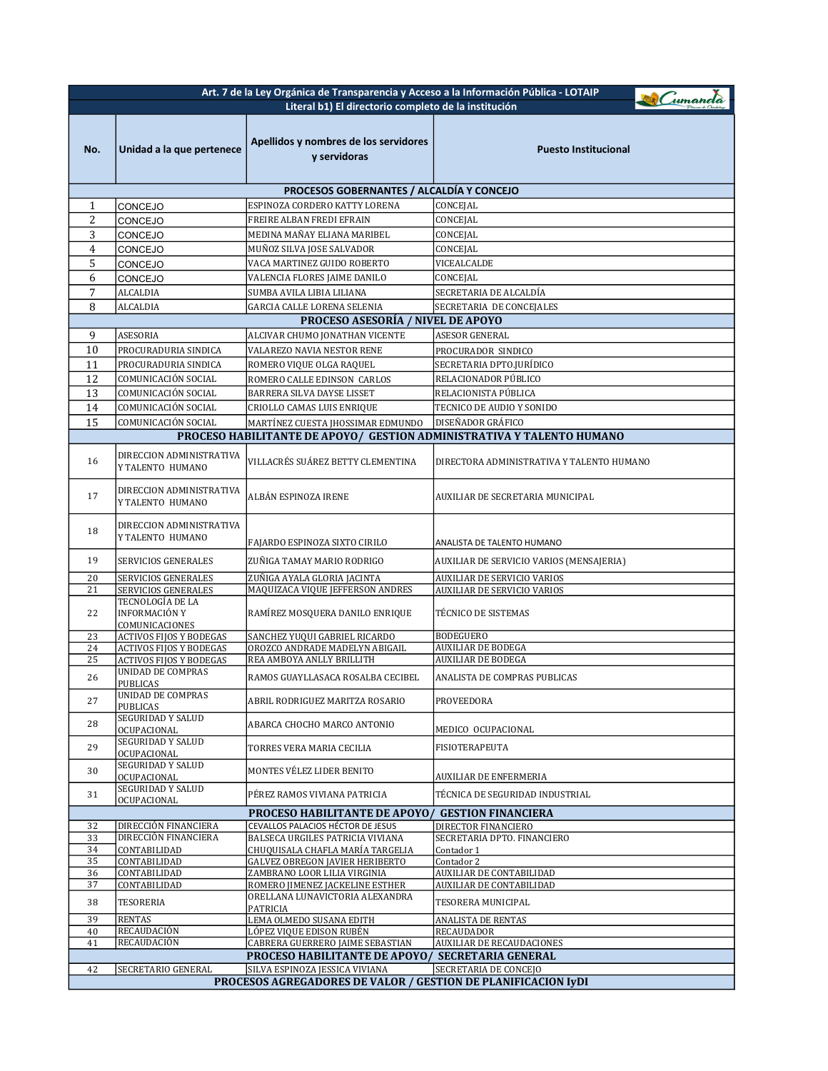| Art. 7 de la Ley Orgánica de Transparencia y Acceso a la Información Pública - LOTAIP<br>Cumanda<br>Literal b1) El directorio completo de la institución |                                                                     |                                                                                      |                                                                       |
|----------------------------------------------------------------------------------------------------------------------------------------------------------|---------------------------------------------------------------------|--------------------------------------------------------------------------------------|-----------------------------------------------------------------------|
|                                                                                                                                                          |                                                                     |                                                                                      |                                                                       |
| No.                                                                                                                                                      | Unidad a la que pertenece                                           | Apellidos y nombres de los servidores<br>y servidoras                                | <b>Puesto Institucional</b>                                           |
|                                                                                                                                                          |                                                                     |                                                                                      |                                                                       |
|                                                                                                                                                          |                                                                     | <b>PROCESOS GOBERNANTES / ALCALDÍA Y CONCEJO</b>                                     |                                                                       |
| 1                                                                                                                                                        | CONCEJO                                                             | ESPINOZA CORDERO KATTY LORENA                                                        | CONCEJAL                                                              |
| 2                                                                                                                                                        | CONCEJO                                                             | FREIRE ALBAN FREDI EFRAIN                                                            | CONCEJAL                                                              |
| 3                                                                                                                                                        | CONCEJO                                                             | MEDINA MAÑAY ELIANA MARIBEL                                                          | CONCEJAL                                                              |
| 4                                                                                                                                                        | <b>CONCEJO</b>                                                      | MUÑOZ SILVA JOSE SALVADOR                                                            | CONCEJAL                                                              |
| 5                                                                                                                                                        | <b>CONCEJO</b>                                                      | VACA MARTINEZ GUIDO ROBERTO                                                          | VICEALCALDE                                                           |
| 6                                                                                                                                                        | CONCEJO                                                             | VALENCIA FLORES JAIME DANILO                                                         | CONCEJAL                                                              |
| 7<br>8                                                                                                                                                   | ALCALDIA<br>ALCALDIA                                                | SUMBA AVILA LIBIA LILIANA                                                            | SECRETARIA DE ALCALDÍA                                                |
| SECRETARIA DE CONCEJALES<br>GARCIA CALLE LORENA SELENIA<br><b>PROCESO ASESORIA / NIVEL DE APOYO</b>                                                      |                                                                     |                                                                                      |                                                                       |
| 9                                                                                                                                                        | ASESORIA                                                            | ALCIVAR CHUMO JONATHAN VICENTE                                                       | <b>ASESOR GENERAL</b>                                                 |
| 10                                                                                                                                                       | PROCURADURIA SINDICA                                                | VALAREZO NAVIA NESTOR RENE                                                           | PROCURADOR SINDICO                                                    |
| 11                                                                                                                                                       | PROCURADURIA SINDICA                                                | ROMERO VIQUE OLGA RAQUEL                                                             | SECRETARIA DPTO.JURÍDICO                                              |
| 12                                                                                                                                                       | COMUNICACIÓN SOCIAL                                                 | ROMERO CALLE EDINSON CARLOS                                                          | RELACIONADOR PÚBLICO                                                  |
| 13                                                                                                                                                       | COMUNICACIÓN SOCIAL                                                 | BARRERA SILVA DAYSE LISSET                                                           | RELACIONISTA PÚBLICA                                                  |
| 14                                                                                                                                                       | COMUNICACIÓN SOCIAL                                                 | CRIOLLO CAMAS LUIS ENRIQUE                                                           | TECNICO DE AUDIO Y SONIDO                                             |
| 15                                                                                                                                                       | COMUNICACIÓN SOCIAL                                                 | MARTÍNEZ CUESTA JHOSSIMAR EDMUNDO                                                    | DISEÑADOR GRÁFICO                                                     |
|                                                                                                                                                          |                                                                     |                                                                                      | PROCESO HABILITANTE DE APOYO/ GESTION ADMINISTRATIVA Y TALENTO HUMANO |
| 16                                                                                                                                                       | DIRECCION ADMINISTRATIVA<br>Y TALENTO HUMANO                        | VILLACRÉS SUÁREZ BETTY CLEMENTINA                                                    | DIRECTORA ADMINISTRATIVA Y TALENTO HUMANO                             |
| 17                                                                                                                                                       | DIRECCION ADMINISTRATIVA<br>Y TALENTO HUMANO                        | ALBÁN ESPINOZA IRENE                                                                 | AUXILIAR DE SECRETARIA MUNICIPAL                                      |
|                                                                                                                                                          | DIRECCION ADMINISTRATIVA                                            |                                                                                      |                                                                       |
| 18                                                                                                                                                       | Y TALENTO HUMANO                                                    | FAJARDO ESPINOZA SIXTO CIRILO                                                        | ANALISTA DE TALENTO HUMANO                                            |
| 19                                                                                                                                                       | <b>SERVICIOS GENERALES</b>                                          | ZUÑIGA TAMAY MARIO RODRIGO                                                           | AUXILIAR DE SERVICIO VARIOS (MENSAJERIA)                              |
| 20                                                                                                                                                       | SERVICIOS GENERALES                                                 | ZUÑIGA AYALA GLORIA JACINTA                                                          | AUXILIAR DE SERVICIO VARIOS                                           |
| 21                                                                                                                                                       | <b>SERVICIOS GENERALES</b><br>TECNOLOGÍA DE LA                      | MAQUIZACA VIQUE JEFFERSON ANDRES                                                     | AUXILIAR DE SERVICIO VARIOS                                           |
| 22                                                                                                                                                       | INFORMACIÓN Y<br>COMUNICACIONES                                     | RAMÍREZ MOSQUERA DANILO ENRIQUE                                                      | TÉCNICO DE SISTEMAS                                                   |
| 23                                                                                                                                                       | <b>ACTIVOS FIJOS Y BODEGAS</b>                                      | SANCHEZ YUQUI GABRIEL RICARDO                                                        | <b>BODEGUERO</b>                                                      |
| 24                                                                                                                                                       | <b>ACTIVOS FIJOS Y BODEGAS</b>                                      | OROZCO ANDRADE MADELYN ABIGAIL                                                       | <b>AUXILIAR DE BODEGA</b>                                             |
| 25                                                                                                                                                       | <b>ACTIVOS FIJOS Y BODEGAS</b><br>UNIDAD DE COMPRAS                 | REA AMBOYA ANLLY BRILLITH                                                            | <b>AUXILIAR DE BODEGA</b>                                             |
| 26                                                                                                                                                       | PUBLICAS                                                            | RAMOS GUAYLLASACA ROSALBA CECIBEL                                                    | ANALISTA DE COMPRAS PUBLICAS                                          |
| 27                                                                                                                                                       | UNIDAD DE COMPRAS<br>PUBLICAS                                       | ABRIL RODRIGUEZ MARITZA ROSARIO                                                      | PROVEEDORA                                                            |
| 28                                                                                                                                                       | <b>SEGURIDAD Y SALUD</b><br>OCUPACIONAL                             | ABARCA CHOCHO MARCO ANTONIO                                                          | MEDICO OCUPACIONAL                                                    |
| 29                                                                                                                                                       | <b>SEGURIDAD Y SALUD</b><br>OCUPACIONAL<br><b>SEGURIDAD Y SALUD</b> | TORRES VERA MARIA CECILIA                                                            | FISIOTERAPEUTA                                                        |
| 30                                                                                                                                                       | OCUPACIONAL<br><b>SEGURIDAD Y SALUD</b>                             | MONTES VÉLEZ LIDER BENITO                                                            | AUXILIAR DE ENFERMERIA                                                |
| 31                                                                                                                                                       | OCUPACIONAL                                                         | PÉREZ RAMOS VIVIANA PATRICIA                                                         | TÉCNICA DE SEGURIDAD INDUSTRIAL                                       |
| 32                                                                                                                                                       | DIRECCIÓN FINANCIERA                                                | <b>PROCESO HABILITANTE DE APOYO/</b><br>CEVALLOS PALACIOS HÉCTOR DE JESUS            | <b>GESTION FINANCIERA</b><br>DIRECTOR FINANCIERO                      |
| 33                                                                                                                                                       | DIRECCIÓN FINANCIERA                                                | BALSECA URGILES PATRICIA VIVIANA                                                     | SECRETARIA DPTO. FINANCIERO                                           |
| 34                                                                                                                                                       | CONTABILIDAD                                                        | CHUQUISALA CHAFLA MARÍA TARGELIA                                                     | Contador 1                                                            |
| 35<br>36                                                                                                                                                 | CONTABILIDAD<br>CONTABILIDAD                                        | <b>GALVEZ OBREGON JAVIER HERIBERTO</b><br>ZAMBRANO LOOR LILIA VIRGINIA               | Contador 2<br><b>AUXILIAR DE CONTABILIDAD</b>                         |
| 37                                                                                                                                                       | CONTABILIDAD                                                        | ROMERO JIMENEZ JACKELINE ESTHER                                                      | <b>AUXILIAR DE CONTABILIDAD</b>                                       |
| 38                                                                                                                                                       | TESORERIA                                                           | ORELLANA LUNAVICTORIA ALEXANDRA<br>PATRICIA                                          | TESORERA MUNICIPAL                                                    |
| 39                                                                                                                                                       | <b>RENTAS</b>                                                       | LEMA OLMEDO SUSANA EDITH                                                             | ANALISTA DE RENTAS                                                    |
| 40                                                                                                                                                       | RECAUDACIÓN<br>RECAUDACIÓN                                          | LÓPEZ VIQUE EDISON RUBÉN                                                             | <b>RECAUDADOR</b>                                                     |
| 41                                                                                                                                                       |                                                                     | CABRERA GUERRERO JAIME SEBASTIAN<br>PROCESO HABILITANTE DE APOYO/ SECRETARIA GENERAL | <b>AUXILIAR DE RECAUDACIONES</b>                                      |
| 42                                                                                                                                                       | SECRETARIO GENERAL                                                  | SILVA ESPINOZA JESSICA VIVIANA                                                       | SECRETARIA DE CONCEJO                                                 |
| PROCESOS AGREGADORES DE VALOR / GESTION DE PLANIFICACION IyDI                                                                                            |                                                                     |                                                                                      |                                                                       |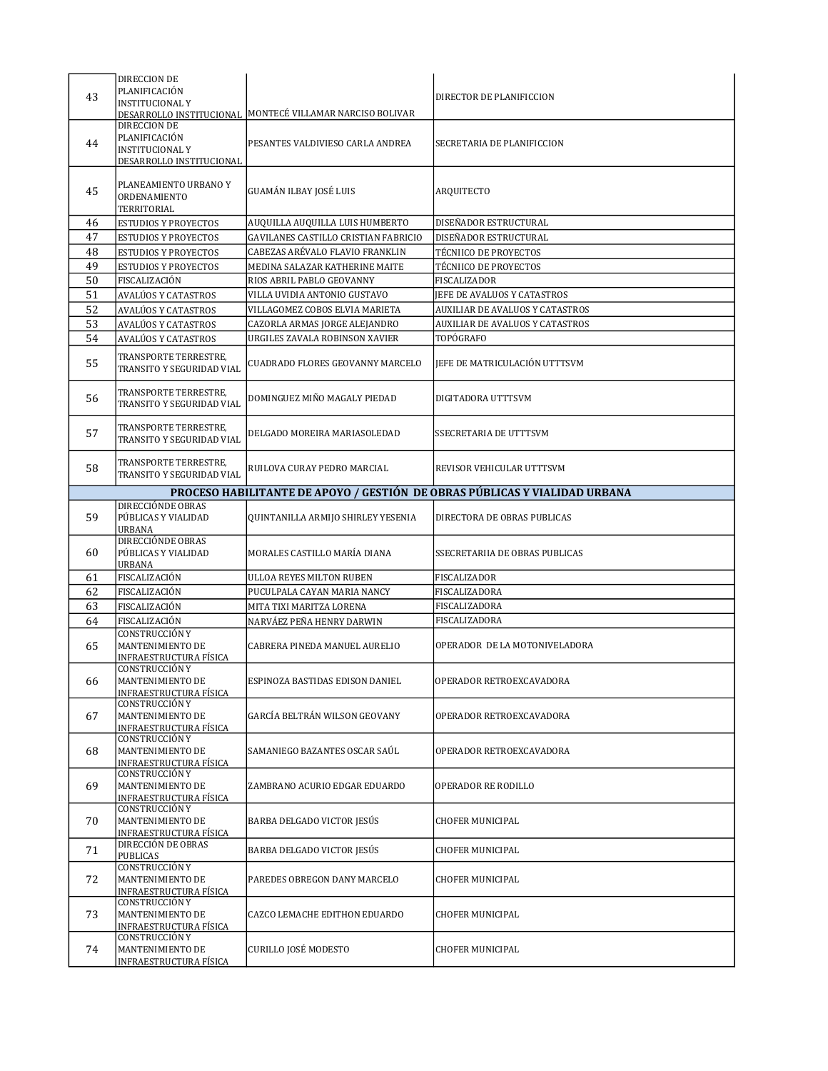| 43 | DIRECCION DE<br>PLANIFICACIÓN<br><b>INSTITUCIONAL Y</b>                             | DESARROLLO INSTITUCIONAL MONTECÉ VILLAMAR NARCISO BOLIVAR | DIRECTOR DE PLANIFICCION                                                   |
|----|-------------------------------------------------------------------------------------|-----------------------------------------------------------|----------------------------------------------------------------------------|
| 44 | DIRECCION DE<br>PLANIFICACIÓN<br><b>INSTITUCIONAL Y</b><br>DESARROLLO INSTITUCIONAL | PESANTES VALDIVIESO CARLA ANDREA                          | SECRETARIA DE PLANIFICCION                                                 |
| 45 | PLANEAMIENTO URBANO Y<br>ORDENAMIENTO<br>TERRITORIAL                                | GUAMÁN ILBAY JOSÉ LUIS                                    | <b>ARQUITECTO</b>                                                          |
| 46 | <b>ESTUDIOS Y PROYECTOS</b>                                                         | AUQUILLA AUQUILLA LUIS HUMBERTO                           | DISEÑADOR ESTRUCTURAL                                                      |
| 47 | <b>ESTUDIOS Y PROYECTOS</b>                                                         | GAVILANES CASTILLO CRISTIAN FABRICIO                      | DISEÑADOR ESTRUCTURAL                                                      |
| 48 | <b>ESTUDIOS Y PROYECTOS</b>                                                         | CABEZAS ARÉVALO FLAVIO FRANKLIN                           | TÉCNIICO DE PROYECTOS                                                      |
| 49 | <b>ESTUDIOS Y PROYECTOS</b>                                                         | MEDINA SALAZAR KATHERINE MAITE                            | <b>TÉCNIICO DE PROYECTOS</b>                                               |
| 50 | FISCALIZACIÓN                                                                       | RIOS ABRIL PABLO GEOVANNY                                 | FISCALIZADOR                                                               |
| 51 | AVALÚOS Y CATASTROS                                                                 | VILLA UVIDIA ANTONIO GUSTAVO                              | JEFE DE AVALUOS Y CATASTROS                                                |
| 52 | AVALÚOS Y CATASTROS                                                                 | VILLAGOMEZ COBOS ELVIA MARIETA                            | AUXILIAR DE AVALUOS Y CATASTROS                                            |
| 53 | AVALÚOS Y CATASTROS                                                                 | CAZORLA ARMAS JORGE ALEJANDRO                             | AUXILIAR DE AVALUOS Y CATASTROS                                            |
| 54 | AVALÚOS Y CATASTROS                                                                 | URGILES ZAVALA ROBINSON XAVIER                            | TOPÓGRAFO                                                                  |
| 55 | TRANSPORTE TERRESTRE,<br>TRANSITO Y SEGURIDAD VIAL                                  | <b>CUADRADO FLORES GEOVANNY MARCELO</b>                   | JEFE DE MATRICULACIÓN UTTTSVM                                              |
| 56 | TRANSPORTE TERRESTRE,<br>TRANSITO Y SEGURIDAD VIAL                                  | DOMINGUEZ MIÑO MAGALY PIEDAD                              | DIGITADORA UTTTSVM                                                         |
| 57 | TRANSPORTE TERRESTRE,<br>TRANSITO Y SEGURIDAD VIAL                                  | DELGADO MOREIRA MARIASOLEDAD                              | <b>SSECRETARIA DE UTTTSVM</b>                                              |
| 58 | TRANSPORTE TERRESTRE,<br>TRANSITO Y SEGURIDAD VIAL                                  | RUILOVA CURAY PEDRO MARCIAL                               | REVISOR VEHICULAR UTTTSVM                                                  |
|    |                                                                                     |                                                           | PROCESO HABILITANTE DE APOYO / GESTIÓN DE OBRAS PÚBLICAS Y VIALIDAD URBANA |
| 59 | DIRECCIÓNDE OBRAS<br>PÚBLICAS Y VIALIDAD<br>URBANA                                  | QUINTANILLA ARMIJO SHIRLEY YESENIA                        | DIRECTORA DE OBRAS PUBLICAS                                                |
| 60 | DIRECCIÓNDE OBRAS<br>PÚBLICAS Y VIALIDAD<br>URBANA                                  | MORALES CASTILLO MARÍA DIANA                              | SSECRETARIIA DE OBRAS PUBLICAS                                             |
| 61 | FISCALIZACIÓN                                                                       | <b>ULLOA REYES MILTON RUBEN</b>                           | FISCALIZADOR                                                               |
| 62 |                                                                                     |                                                           |                                                                            |
|    | FISCALIZACIÓN                                                                       | PUCULPALA CAYAN MARIA NANCY                               | FISCALIZADORA                                                              |
| 63 | FISCALIZACIÓN                                                                       | MITA TIXI MARITZA LORENA                                  | FISCALIZADORA                                                              |
| 64 | FISCALIZACIÓN                                                                       | NARVÁEZ PEÑA HENRY DARWIN                                 | FISCALIZADORA                                                              |
| 65 | CONSTRUCCIÓN Y<br>MANTENIMIENTO DE<br><u>INFRAESTRUCTURA FÍSICA</u>                 | CABRERA PINEDA MANUEL AURELIO                             | OPERADOR DE LA MOTONIVELADORA                                              |
| 66 | <b>CONSTRUCCIÓN Y</b><br>MANTENIMIENTO DE<br>INFRAESTRUCTURA FÍSICA                 | ESPINOZA BASTIDAS EDISON DANIEL                           | OPERADOR RETROEXCAVADORA                                                   |
| 67 | CONSTRUCCIÓN Y<br>MANTENIMIENTO DE<br>INFRAESTRUCTURA FÍSICA                        | GARCÍA BELTRÁN WILSON GEOVANY                             | OPERADOR RETROEXCAVADORA                                                   |
| 68 | CONSTRUCCIÓN Y<br>MANTENIMIENTO DE<br>INFRAESTRUCTURA FÍSICA                        | SAMANIEGO BAZANTES OSCAR SAÚL                             | OPERADOR RETROEXCAVADORA                                                   |
| 69 | CONSTRUCCIÓN Y<br>MANTENIMIENTO DE<br>INFRAESTRUCTURA FÍSICA                        | ZAMBRANO ACURIO EDGAR EDUARDO                             | OPERADOR RE RODILLO                                                        |
| 70 | CONSTRUCCIÓN Y<br>MANTENIMIENTO DE<br>INFRAESTRUCTURA FÍSICA                        | BARBA DELGADO VICTOR JESÚS                                | <b>CHOFER MUNICIPAL</b>                                                    |
| 71 | DIRECCIÓN DE OBRAS<br>PUBLICAS                                                      | BARBA DELGADO VICTOR JESÚS                                | <b>CHOFER MUNICIPAL</b>                                                    |
| 72 | <b>CONSTRUCCIÓN Y</b><br>MANTENIMIENTO DE<br>INFRAESTRUCTURA FÍSICA                 | PAREDES OBREGON DANY MARCELO                              | <b>CHOFER MUNICIPAL</b>                                                    |
| 73 | CONSTRUCCIÓN Y<br>MANTENIMIENTO DE<br>INFRAESTRUCTURA FÍSICA                        | CAZCO LEMACHE EDITHON EDUARDO                             | <b>CHOFER MUNICIPAL</b>                                                    |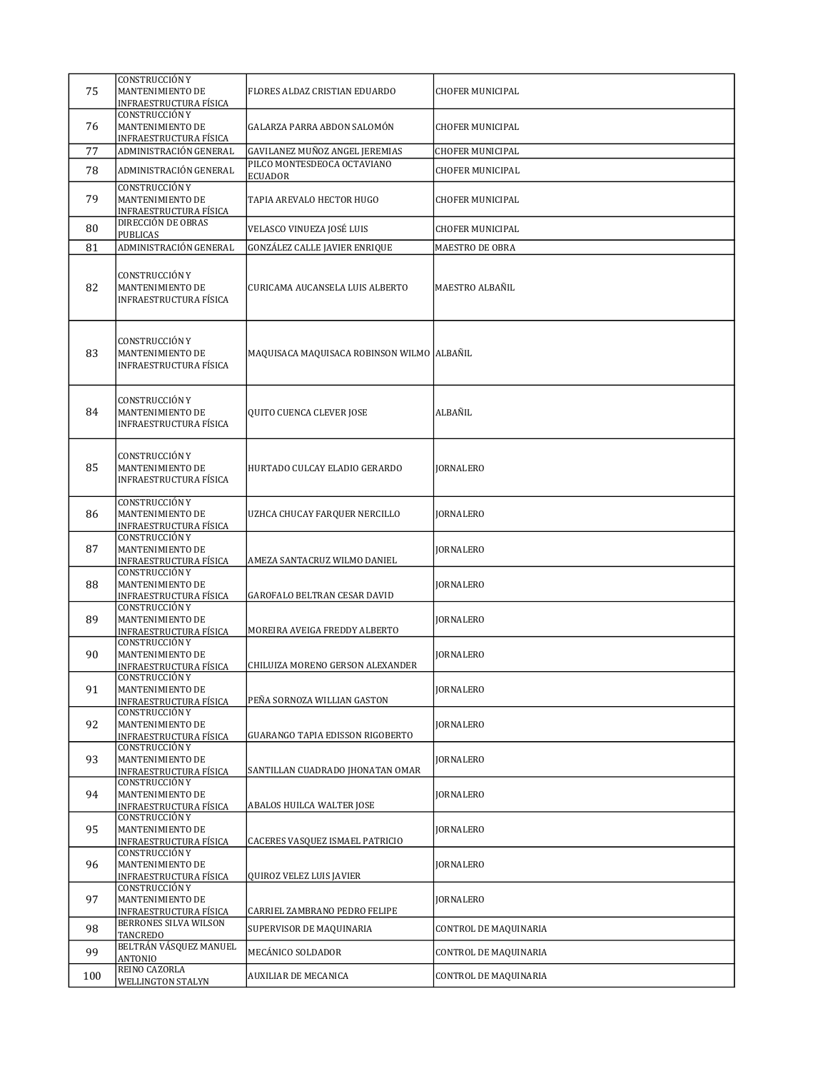| 75  | CONSTRUCCIÓN Y<br>MANTENIMIENTO DE<br>INFRAESTRUCTURA FÍSICA               | FLORES ALDAZ CRISTIAN EDUARDO                 | <b>CHOFER MUNICIPAL</b> |
|-----|----------------------------------------------------------------------------|-----------------------------------------------|-------------------------|
| 76  | CONSTRUCCIÓN Y<br>MANTENIMIENTO DE<br>INFRAESTRUCTURA FÍSICA               | GALARZA PARRA ABDON SALOMÓN                   | <b>CHOFER MUNICIPAL</b> |
| 77  | ADMINISTRACIÓN GENERAL                                                     | GAVILANEZ MUÑOZ ANGEL JEREMIAS                | <b>CHOFER MUNICIPAL</b> |
| 78  | ADMINISTRACIÓN GENERAL                                                     | PILCO MONTESDEOCA OCTAVIANO<br><b>ECUADOR</b> | <b>CHOFER MUNICIPAL</b> |
| 79  | CONSTRUCCIÓN Y<br>MANTENIMIENTO DE<br>INFRAESTRUCTURA FÍSICA               | TAPIA AREVALO HECTOR HUGO                     | CHOFER MUNICIPAL        |
| 80  | DIRECCIÓN DE OBRAS<br><b>PUBLICAS</b>                                      | VELASCO VINUEZA JOSÉ LUIS                     | <b>CHOFER MUNICIPAL</b> |
| 81  | ADMINISTRACIÓN GENERAL                                                     | <b>GONZÁLEZ CALLE JAVIER ENRIQUE</b>          | MAESTRO DE OBRA         |
| 82  | CONSTRUCCIÓN Y<br>MANTENIMIENTO DE<br>INFRAESTRUCTURA FÍSICA               | CURICAMA AUCANSELA LUIS ALBERTO               | MAESTRO ALBAÑIL         |
| 83  | CONSTRUCCIÓN Y<br>MANTENIMIENTO DE<br>INFRAESTRUCTURA FÍSICA               | MAQUISACA MAQUISACA ROBINSON WILMO ALBAÑIL    |                         |
| 84  | CONSTRUCCIÓN Y<br>MANTENIMIENTO DE<br>INFRAESTRUCTURA FÍSICA               | QUITO CUENCA CLEVER JOSE                      | ALBAÑIL                 |
| 85  | CONSTRUCCIÓN Y<br>MANTENIMIENTO DE<br>INFRAESTRUCTURA FÍSICA               | HURTADO CULCAY ELADIO GERARDO                 | <b>JORNALERO</b>        |
| 86  | CONSTRUCCIÓN Y<br>MANTENIMIENTO DE<br>INFRAESTRUCTURA FÍSICA               | UZHCA CHUCAY FARQUER NERCILLO                 | <b>JORNALERO</b>        |
| 87  | CONSTRUCCIÓN Y<br>MANTENIMIENTO DE<br>INFRAESTRUCTURA FÍSICA               | AMEZA SANTACRUZ WILMO DANIEL                  | <b>JORNALERO</b>        |
| 88  | CONSTRUCCIÓN Y<br>MANTENIMIENTO DE<br>INFRAESTRUCTURA FÍSICA               | GAROFALO BELTRAN CESAR DAVID                  | <b>JORNALERO</b>        |
| 89  | CONSTRUCCIÓN Y<br>MANTENIMIENTO DE<br><b>INFRAESTRUCTURA FÍSICA</b>        | MOREIRA AVEIGA FREDDY ALBERTO                 | <b>JORNALERO</b>        |
| 90  | CONSTRUCCIÓN Y<br>MANTENIMIENTO DE<br>INFRAESTRUCTURA FÍSICA               | CHILUIZA MORENO GERSON ALEXANDER              | <b>JORNALERO</b>        |
| 91  | <b>CONSTRUCCIÓN Y</b><br>MANTENIMIENTO DE<br>INFRAESTRUCTURA FÍSICA        | PEÑA SORNOZA WILLIAN GASTON                   | <b>IORNALERO</b>        |
| 92  | <b>CONSTRUCCIÓN Y</b><br>MANTENIMIENTO DE<br>INFRAESTRUCTURA FÍSICA        | GUARANGO TAPIA EDISSON RIGOBERTO              | <b>JORNALERO</b>        |
| 93  | <b>CONSTRUCCIÓN Y</b><br>MANTENIMIENTO DE<br><b>INFRAESTRUCTURA FÍSICA</b> | SANTILLAN CUADRADO JHONATAN OMAR              | <b>JORNALERO</b>        |
| 94  | CONSTRUCCIÓN Y<br>MANTENIMIENTO DE<br>INFRAESTRUCTURA FÍSICA               | ABALOS HUILCA WALTER JOSE                     | <b>JORNALERO</b>        |
| 95  | CONSTRUCCIÓN Y<br>MANTENIMIENTO DE<br>INFRAESTRUCTURA FÍSICA               | CACERES VASQUEZ ISMAEL PATRICIO               | <b>JORNALERO</b>        |
| 96  | <b>CONSTRUCCIÓN Y</b><br>MANTENIMIENTO DE<br><b>INFRAESTRUCTURA FÍSICA</b> | QUIROZ VELEZ LUIS JAVIER                      | <b>JORNALERO</b>        |
| 97  | CONSTRUCCIÓN Y<br>MANTENIMIENTO DE<br>INFRAESTRUCTURA FÍSICA               | CARRIEL ZAMBRANO PEDRO FELIPE                 | <b>JORNALERO</b>        |
| 98  | BERRONES SILVA WILSON<br>TANCREDO                                          | SUPERVISOR DE MAQUINARIA                      | CONTROL DE MAQUINARIA   |
| 99  | BELTRÁN VÁSQUEZ MANUEL<br>ANTONIO                                          | MECÁNICO SOLDADOR                             | CONTROL DE MAQUINARIA   |
| 100 | REINO CAZORLA                                                              | AUXILIAR DE MECANICA                          | CONTROL DE MAQUINARIA   |
|     | WELLINGTON STALYN                                                          |                                               |                         |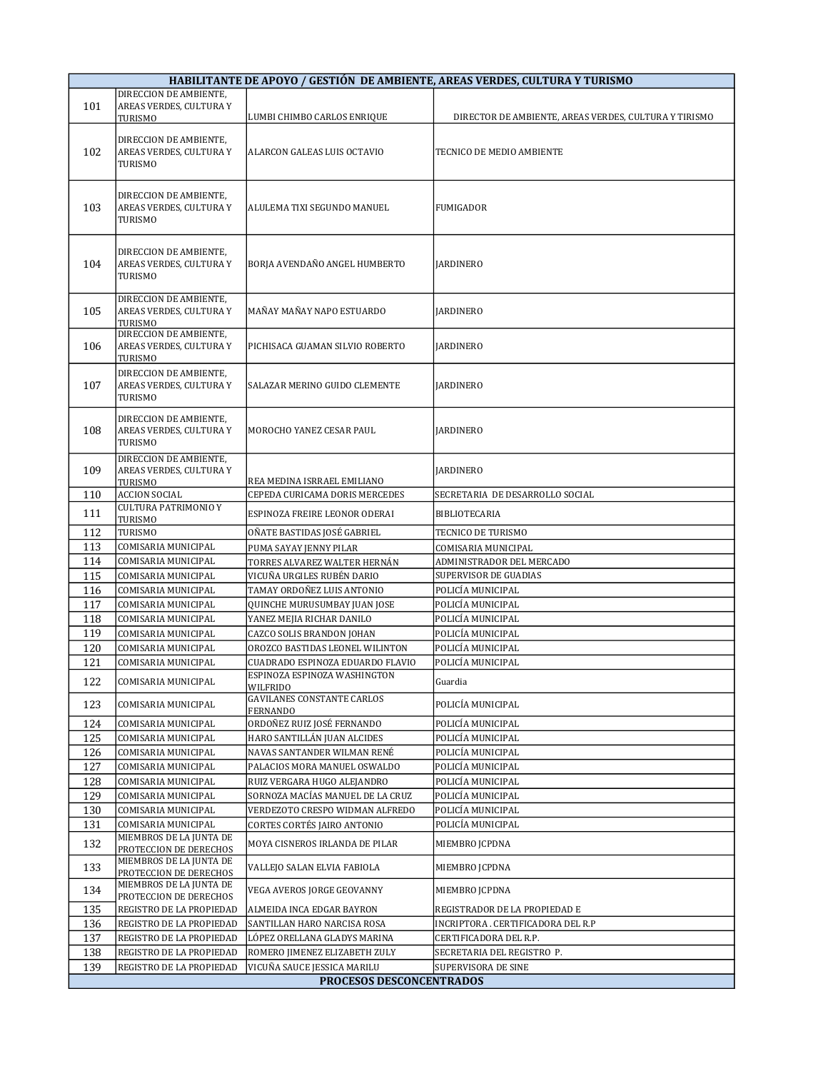| HABILITANTE DE APOYO / GESTIÓN DE AMBIENTE, AREAS VERDES, CULTURA Y TURISMO |                                                              |                                                               |                                                       |  |
|-----------------------------------------------------------------------------|--------------------------------------------------------------|---------------------------------------------------------------|-------------------------------------------------------|--|
|                                                                             | DIRECCION DE AMBIENTE,                                       |                                                               |                                                       |  |
| 101                                                                         | AREAS VERDES, CULTURA Y                                      |                                                               |                                                       |  |
|                                                                             | TURISMO                                                      | LUMBI CHIMBO CARLOS ENRIQUE                                   | DIRECTOR DE AMBIENTE, AREAS VERDES, CULTURA Y TIRISMO |  |
| 102                                                                         | DIRECCION DE AMBIENTE,<br>AREAS VERDES, CULTURA Y<br>TURISMO | ALARCON GALEAS LUIS OCTAVIO                                   | TECNICO DE MEDIO AMBIENTE                             |  |
| 103                                                                         | DIRECCION DE AMBIENTE,<br>AREAS VERDES, CULTURA Y<br>TURISMO | ALULEMA TIXI SEGUNDO MANUEL                                   | <b>FUMIGADOR</b>                                      |  |
| 104                                                                         | DIRECCION DE AMBIENTE,<br>AREAS VERDES, CULTURA Y<br>TURISMO | BORJA AVENDAÑO ANGEL HUMBERTO                                 | <b>JARDINERO</b>                                      |  |
| 105                                                                         | DIRECCION DE AMBIENTE,<br>AREAS VERDES, CULTURA Y<br>TURISMO | MAÑAY MAÑAY NAPO ESTUARDO                                     | <b>JARDINERO</b>                                      |  |
| 106                                                                         | DIRECCION DE AMBIENTE,<br>AREAS VERDES, CULTURA Y<br>TURISMO | PICHISACA GUAMAN SILVIO ROBERTO                               | <b>JARDINERO</b>                                      |  |
| 107                                                                         | DIRECCION DE AMBIENTE,<br>AREAS VERDES, CULTURA Y<br>TURISMO | SALAZAR MERINO GUIDO CLEMENTE                                 | <b>JARDINERO</b>                                      |  |
| 108                                                                         | DIRECCION DE AMBIENTE,<br>AREAS VERDES, CULTURA Y<br>TURISMO | MOROCHO YANEZ CESAR PAUL                                      | <b>JARDINERO</b>                                      |  |
| 109                                                                         | DIRECCION DE AMBIENTE,<br>AREAS VERDES, CULTURA Y<br>TURISMO | REA MEDINA ISRRAEL EMILIANO                                   | <b>JARDINERO</b>                                      |  |
| 110                                                                         | <b>ACCION SOCIAL</b>                                         | CEPEDA CURICAMA DORIS MERCEDES                                | SECRETARIA DE DESARROLLO SOCIAL                       |  |
| 111                                                                         | CULTURA PATRIMONIO Y                                         | ESPINOZA FREIRE LEONOR ODERAI                                 | <b>BIBLIOTECARIA</b>                                  |  |
|                                                                             | TURISMO                                                      |                                                               |                                                       |  |
| 112                                                                         | TURISMO                                                      | OÑATE BASTIDAS JOSÉ GABRIEL                                   | TECNICO DE TURISMO                                    |  |
| 113                                                                         | COMISARIA MUNICIPAL                                          | PUMA SAYAY JENNY PILAR                                        | COMISARIA MUNICIPAL                                   |  |
| 114                                                                         | COMISARIA MUNICIPAL                                          | TORRES ALVAREZ WALTER HERNÁN<br>VICUÑA URGILES RUBÉN DARIO    | ADMINISTRADOR DEL MERCADO<br>SUPERVISOR DE GUADIAS    |  |
| 115                                                                         | COMISARIA MUNICIPAL                                          |                                                               |                                                       |  |
| 116<br>117                                                                  | COMISARIA MUNICIPAL<br>COMISARIA MUNICIPAL                   | TAMAY ORDOÑEZ LUIS ANTONIO<br>QUINCHE MURUSUMBAY JUAN JOSE    | POLICÍA MUNICIPAL<br>POLICÍA MUNICIPAL                |  |
| 118                                                                         | COMISARIA MUNICIPAL                                          | YANEZ MEJIA RICHAR DANILO                                     | POLICÍA MUNICIPAL                                     |  |
| 119                                                                         | COMISARIA MUNICIPAL                                          | CAZCO SOLIS BRANDON JOHAN                                     | POLICÍA MUNICIPAL                                     |  |
| 120                                                                         | COMISARIA MUNICIPAL                                          | OROZCO BASTIDAS LEONEL WILINTON                               | POLICÍA MUNICIPAL                                     |  |
| 121                                                                         | COMISARIA MUNICIPAL                                          | CUADRADO ESPINOZA EDUARDO FLAVIO                              | POLICÍA MUNICIPAL                                     |  |
|                                                                             |                                                              | ESPINOZA ESPINOZA WASHINGTON                                  |                                                       |  |
| 122<br>123                                                                  | COMISARIA MUNICIPAL<br>COMISARIA MUNICIPAL                   | <b>WILFRIDO</b><br><b>GAVILANES CONSTANTE CARLOS</b>          | Guardia<br>POLICÍA MUNICIPAL                          |  |
|                                                                             |                                                              | <b>FERNANDO</b><br>ORDOÑEZ RUIZ JOSÉ FERNANDO                 |                                                       |  |
| 124<br>125                                                                  | COMISARIA MUNICIPAL                                          | HARO SANTILLÁN JUAN ALCIDES                                   | POLICÍA MUNICIPAL<br>POLICÍA MUNICIPAL                |  |
| 126                                                                         | COMISARIA MUNICIPAL<br>COMISARIA MUNICIPAL                   | NAVAS SANTANDER WILMAN RENÉ                                   | POLICÍA MUNICIPAL                                     |  |
| 127                                                                         | COMISARIA MUNICIPAL                                          | PALACIOS MORA MANUEL OSWALDO                                  | POLICÍA MUNICIPAL                                     |  |
| 128                                                                         | COMISARIA MUNICIPAL                                          | RUIZ VERGARA HUGO ALEJANDRO                                   | POLICÍA MUNICIPAL                                     |  |
| 129                                                                         | COMISARIA MUNICIPAL                                          | SORNOZA MACÍAS MANUEL DE LA CRUZ                              | POLICÍA MUNICIPAL                                     |  |
| 130                                                                         | COMISARIA MUNICIPAL                                          | VERDEZOTO CRESPO WIDMAN ALFREDO                               | POLICÍA MUNICIPAL                                     |  |
| 131                                                                         | COMISARIA MUNICIPAL                                          | CORTES CORTÉS JAIRO ANTONIO                                   | POLICÍA MUNICIPAL                                     |  |
|                                                                             | MIEMBROS DE LA JUNTA DE                                      |                                                               |                                                       |  |
| 132<br>133                                                                  | PROTECCION DE DERECHOS<br>MIEMBROS DE LA JUNTA DE            | MOYA CISNEROS IRLANDA DE PILAR<br>VALLEJO SALAN ELVIA FABIOLA | MIEMBRO JCPDNA<br>MIEMBRO JCPDNA                      |  |
|                                                                             | PROTECCION DE DERECHOS<br>MIEMBROS DE LA JUNTA DE            |                                                               |                                                       |  |
| 134<br>135                                                                  | PROTECCION DE DERECHOS<br>REGISTRO DE LA PROPIEDAD           | VEGA AVEROS JORGE GEOVANNY<br>ALMEIDA INCA EDGAR BAYRON       | MIEMBRO JCPDNA<br>REGISTRADOR DE LA PROPIEDAD E       |  |
| 136                                                                         | REGISTRO DE LA PROPIEDAD                                     | SANTILLAN HARO NARCISA ROSA                                   | INCRIPTORA . CERTIFICADORA DEL R.P                    |  |
| 137                                                                         | REGISTRO DE LA PROPIEDAD                                     | LÓPEZ ORELLANA GLADYS MARINA                                  | CERTIFICADORA DEL R.P.                                |  |
| 138                                                                         | REGISTRO DE LA PROPIEDAD                                     | ROMERO JIMENEZ ELIZABETH ZULY                                 | SECRETARIA DEL REGISTRO P.                            |  |
| 139                                                                         | REGISTRO DE LA PROPIEDAD                                     | VICUÑA SAUCE JESSICA MARILU                                   | SUPERVISORA DE SINE                                   |  |
|                                                                             | PROCESOS DESCONCENTRADOS                                     |                                                               |                                                       |  |